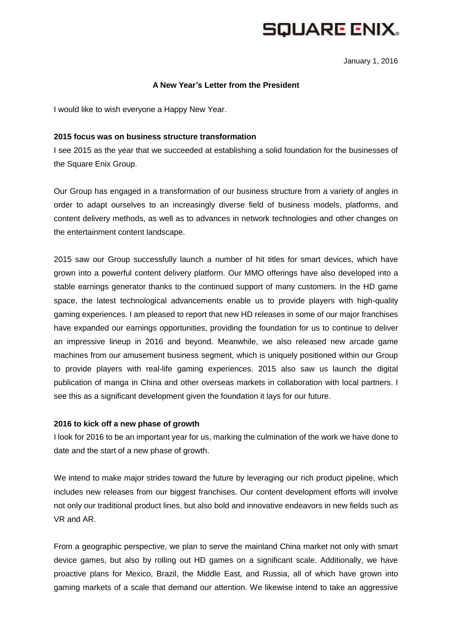**SQUARE ENIX.** 

January 1, 2016

#### **A New Year's Letter from the President**

I would like to wish everyone a Happy New Year.

### **2015 focus was on business structure transformation**

I see 2015 as the year that we succeeded at establishing a solid foundation for the businesses of the Square Enix Group.

Our Group has engaged in a transformation of our business structure from a variety of angles in order to adapt ourselves to an increasingly diverse field of business models, platforms, and content delivery methods, as well as to advances in network technologies and other changes on the entertainment content landscape.

2015 saw our Group successfully launch a number of hit titles for smart devices, which have grown into a powerful content delivery platform. Our MMO offerings have also developed into a stable earnings generator thanks to the continued support of many customers. In the HD game space, the latest technological advancements enable us to provide players with high-quality gaming experiences. I am pleased to report that new HD releases in some of our major franchises have expanded our earnings opportunities, providing the foundation for us to continue to deliver an impressive lineup in 2016 and beyond. Meanwhile, we also released new arcade game machines from our amusement business segment, which is uniquely positioned within our Group to provide players with real-life gaming experiences. 2015 also saw us launch the digital publication of manga in China and other overseas markets in collaboration with local partners. I see this as a significant development given the foundation it lays for our future.

#### **2016 to kick off a new phase of growth**

I look for 2016 to be an important year for us, marking the culmination of the work we have done to date and the start of a new phase of growth.

We intend to make major strides toward the future by leveraging our rich product pipeline, which includes new releases from our biggest franchises. Our content development efforts will involve not only our traditional product lines, but also bold and innovative endeavors in new fields such as VR and AR.

From a geographic perspective, we plan to serve the mainland China market not only with smart device games, but also by rolling out HD games on a significant scale. Additionally, we have proactive plans for Mexico, Brazil, the Middle East, and Russia, all of which have grown into gaming markets of a scale that demand our attention. We likewise intend to take an aggressive